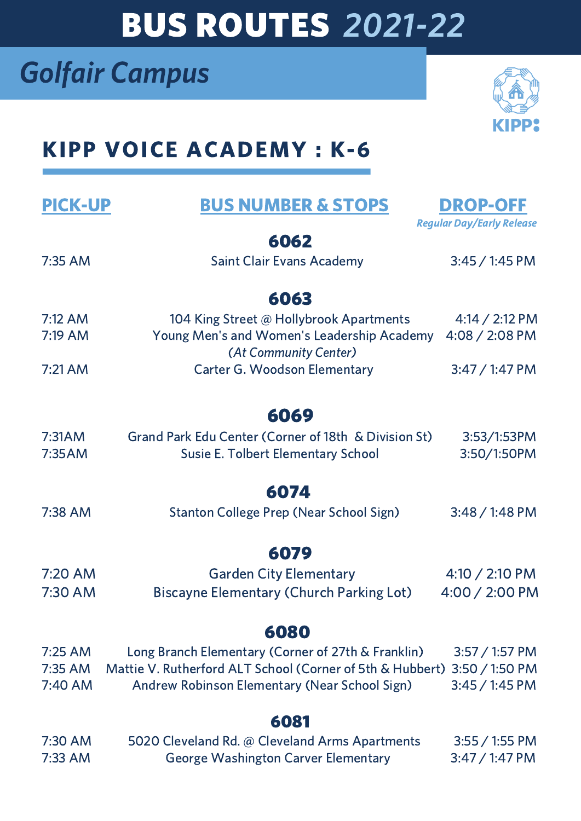# BUS ROUTES 2021-22

# Golfair Campus



## KIPP VOICE ACADEMY : K-6

| <b>PICK-UP</b> | <b>BUS NUMBER &amp; STOPS</b>                             | <b>DROP-OFF</b>                  |
|----------------|-----------------------------------------------------------|----------------------------------|
|                |                                                           | <b>Regular Day/Early Release</b> |
| 6062           |                                                           |                                  |
| 7:35 AM        | <b>Saint Clair Evans Academy</b>                          | $3:45/1:45$ PM                   |
|                |                                                           |                                  |
| 6063           |                                                           |                                  |
| $7:12$ AM      | 104 King Street @ Hollybrook Apartments                   | $4:14 / 2:12$ PM                 |
| 7:19 AM        | Young Men's and Women's Leadership Academy                | 4:08 / 2:08 PM                   |
|                | (At Community Center)                                     |                                  |
| $7:21$ AM      | <b>Carter G. Woodson Elementary</b>                       | $3:47/1:47$ PM                   |
|                |                                                           |                                  |
| 6069           |                                                           |                                  |
| 7:31AM         | Grand Park Edu Center (Corner of 18th & Division St)      | 3:53/1:53PM                      |
| 7:35AM         | <b>Susie E. Tolbert Elementary School</b>                 | 3:50/1:50PM                      |
|                |                                                           |                                  |
| 6074           |                                                           |                                  |
| 7:38 AM        | <b>Stanton College Prep (Near School Sign)</b>            | $3:48/1:48$ PM                   |
|                |                                                           |                                  |
| 6079           |                                                           |                                  |
| 7:20 AM        | <b>Garden City Elementary</b>                             | $4:10 / 2:10 \text{ PM}$         |
| 7:30 AM        | <b>Biscayne Elementary (Church Parking Lot)</b>           | 4:00 / 2:00 PM                   |
|                |                                                           |                                  |
| 6080           |                                                           |                                  |
| 7:25 AM        | Long Branch Elementary (Corner of 27th & Franklin)        | $3:57 / 1:57$ PM                 |
| 7:35 AM        | Mattie V. Rutherford ALT School (Corner of 5th & Hubbert) | $3:50 / 1:50$ PM                 |
| 7:40 AM        | Andrew Robinson Elementary (Near School Sign)             | $3:45/1:45$ PM                   |
|                |                                                           |                                  |
| 6081           |                                                           |                                  |
| 7:30 AM        | 5020 Cleveland Rd. @ Cleveland Arms Apartments            | $3:55 / 1:55$ PM                 |
| 7:33 AM        | <b>George Washington Carver Elementary</b>                | $3:47/1:47 \text{ PM}$           |